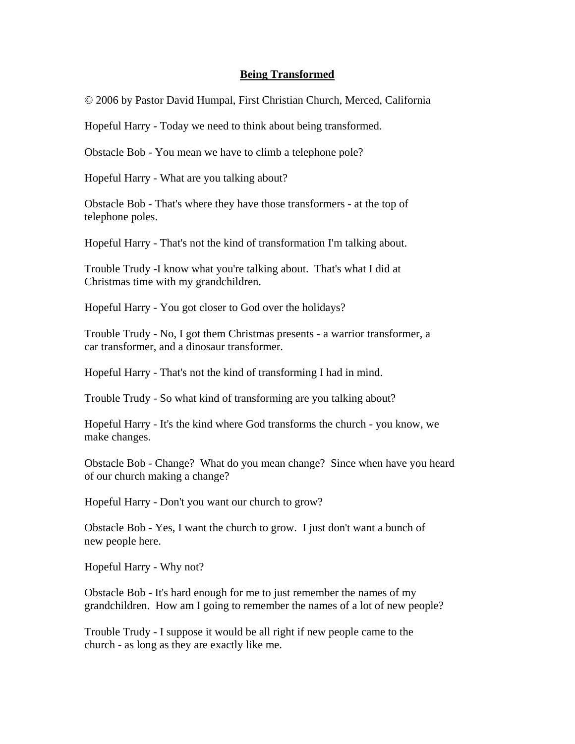## **Being Transformed**

© 2006 by Pastor David Humpal, First Christian Church, Merced, California

Hopeful Harry - Today we need to think about being transformed.

Obstacle Bob - You mean we have to climb a telephone pole?

Hopeful Harry - What are you talking about?

Obstacle Bob - That's where they have those transformers - at the top of telephone poles.

Hopeful Harry - That's not the kind of transformation I'm talking about.

Trouble Trudy -I know what you're talking about. That's what I did at Christmas time with my grandchildren.

Hopeful Harry - You got closer to God over the holidays?

Trouble Trudy - No, I got them Christmas presents - a warrior transformer, a car transformer, and a dinosaur transformer.

Hopeful Harry - That's not the kind of transforming I had in mind.

Trouble Trudy - So what kind of transforming are you talking about?

Hopeful Harry - It's the kind where God transforms the church - you know, we make changes.

Obstacle Bob - Change? What do you mean change? Since when have you heard of our church making a change?

Hopeful Harry - Don't you want our church to grow?

Obstacle Bob - Yes, I want the church to grow. I just don't want a bunch of new people here.

Hopeful Harry - Why not?

Obstacle Bob - It's hard enough for me to just remember the names of my grandchildren. How am I going to remember the names of a lot of new people?

Trouble Trudy - I suppose it would be all right if new people came to the church - as long as they are exactly like me.